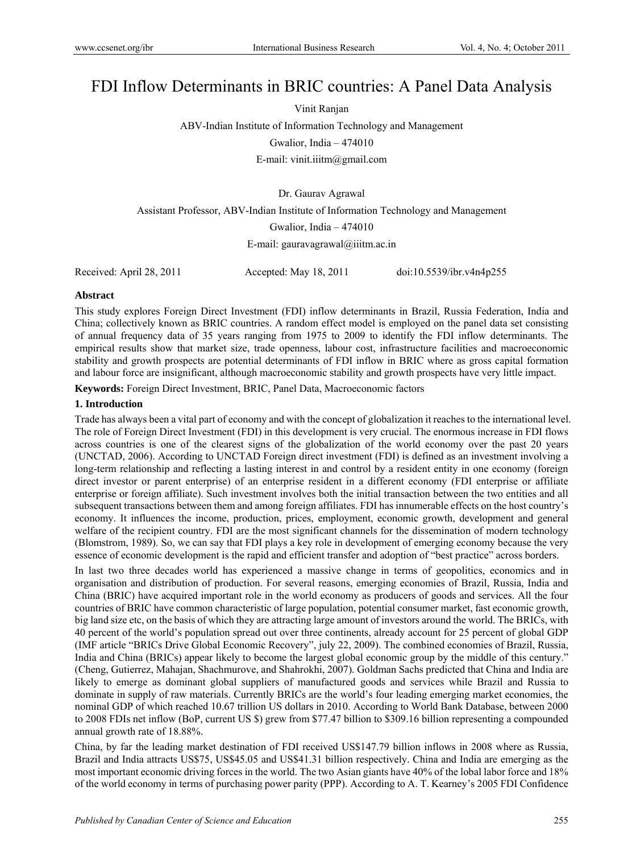# FDI Inflow Determinants in BRIC countries: A Panel Data Analysis

Vinit Ranjan

ABV-Indian Institute of Information Technology and Management Gwalior, India – 474010

E-mail: vinit.iiitm@gmail.com

Dr. Gaurav Agrawal

Assistant Professor, ABV-Indian Institute of Information Technology and Management

Gwalior, India – 474010

E-mail: gauravagrawal@iiitm.ac.in

Received: April 28, 2011 Accepted: May 18, 2011 doi:10.5539/ibr.v4n4p255

# **Abstract**

This study explores Foreign Direct Investment (FDI) inflow determinants in Brazil, Russia Federation, India and China; collectively known as BRIC countries. A random effect model is employed on the panel data set consisting of annual frequency data of 35 years ranging from 1975 to 2009 to identify the FDI inflow determinants. The empirical results show that market size, trade openness, labour cost, infrastructure facilities and macroeconomic stability and growth prospects are potential determinants of FDI inflow in BRIC where as gross capital formation and labour force are insignificant, although macroeconomic stability and growth prospects have very little impact.

**Keywords:** Foreign Direct Investment, BRIC, Panel Data, Macroeconomic factors

# **1. Introduction**

Trade has always been a vital part of economy and with the concept of globalization it reaches to the international level. The role of Foreign Direct Investment (FDI) in this development is very crucial. The enormous increase in FDI flows across countries is one of the clearest signs of the globalization of the world economy over the past 20 years (UNCTAD, 2006). According to UNCTAD Foreign direct investment (FDI) is defined as an investment involving a long-term relationship and reflecting a lasting interest in and control by a resident entity in one economy (foreign direct investor or parent enterprise) of an enterprise resident in a different economy (FDI enterprise or affiliate enterprise or foreign affiliate). Such investment involves both the initial transaction between the two entities and all subsequent transactions between them and among foreign affiliates. FDI has innumerable effects on the host country's economy. It influences the income, production, prices, employment, economic growth, development and general welfare of the recipient country. FDI are the most significant channels for the dissemination of modern technology (Blomstrom, 1989). So, we can say that FDI plays a key role in development of emerging economy because the very essence of economic development is the rapid and efficient transfer and adoption of "best practice" across borders.

In last two three decades world has experienced a massive change in terms of geopolitics, economics and in organisation and distribution of production. For several reasons, emerging economies of Brazil, Russia, India and China (BRIC) have acquired important role in the world economy as producers of goods and services. All the four countries of BRIC have common characteristic of large population, potential consumer market, fast economic growth, big land size etc, on the basis of which they are attracting large amount of investors around the world. The BRICs, with 40 percent of the world's population spread out over three continents, already account for 25 percent of global GDP (IMF article "BRICs Drive Global Economic Recovery", july 22, 2009). The combined economies of Brazil, Russia, India and China (BRICs) appear likely to become the largest global economic group by the middle of this century." (Cheng, Gutierrez, Mahajan, Shachmurove, and Shahrokhi, 2007). Goldman Sachs predicted that China and India are likely to emerge as dominant global suppliers of manufactured goods and services while Brazil and Russia to dominate in supply of raw materials. Currently BRICs are the world's four leading emerging market economies, the nominal GDP of which reached 10.67 trillion US dollars in 2010. According to World Bank Database, between 2000 to 2008 FDIs net inflow (BoP, current US \$) grew from \$77.47 billion to \$309.16 billion representing a compounded annual growth rate of 18.88%.

China, by far the leading market destination of FDI received US\$147.79 billion inflows in 2008 where as Russia, Brazil and India attracts US\$75, US\$45.05 and US\$41.31 billion respectively. China and India are emerging as the most important economic driving forces in the world. The two Asian giants have 40% of the lobal labor force and 18% of the world economy in terms of purchasing power parity (PPP). According to A. T. Kearney's 2005 FDI Confidence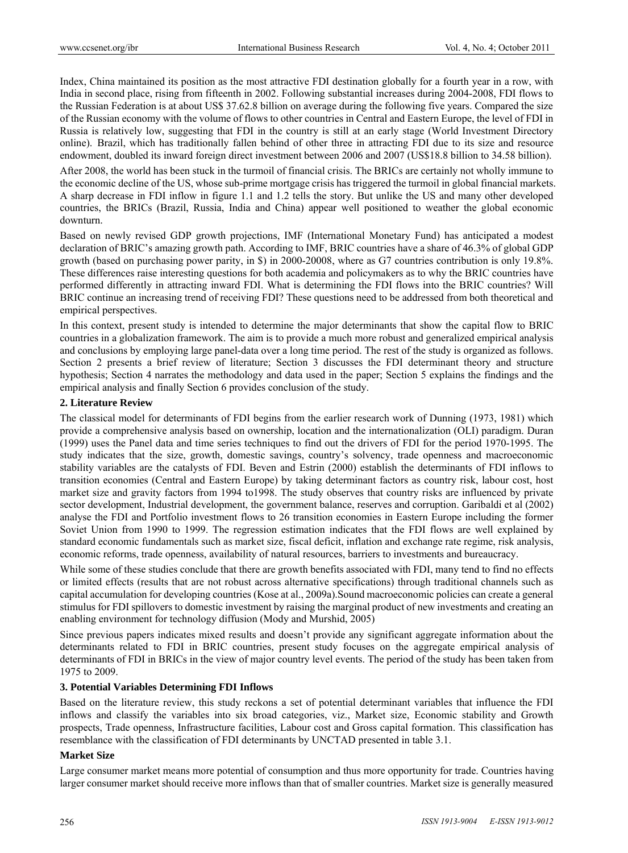Index, China maintained its position as the most attractive FDI destination globally for a fourth year in a row, with India in second place, rising from fifteenth in 2002. Following substantial increases during 2004-2008, FDI flows to the Russian Federation is at about US\$ 37.62.8 billion on average during the following five years. Compared the size of the Russian economy with the volume of flows to other countries in Central and Eastern Europe, the level of FDI in Russia is relatively low, suggesting that FDI in the country is still at an early stage (World Investment Directory online). Brazil, which has traditionally fallen behind of other three in attracting FDI due to its size and resource endowment, doubled its inward foreign direct investment between 2006 and 2007 (US\$18.8 billion to 34.58 billion).

After 2008, the world has been stuck in the turmoil of financial crisis. The BRICs are certainly not wholly immune to the economic decline of the US, whose sub-prime mortgage crisis has triggered the turmoil in global financial markets. A sharp decrease in FDI inflow in figure 1.1 and 1.2 tells the story. But unlike the US and many other developed countries, the BRICs (Brazil, Russia, India and China) appear well positioned to weather the global economic downturn.

Based on newly revised GDP growth projections, IMF (International Monetary Fund) has anticipated a modest declaration of BRIC's amazing growth path. According to IMF, BRIC countries have a share of 46.3% of global GDP growth (based on purchasing power parity, in \$) in 2000-20008, where as G7 countries contribution is only 19.8%. These differences raise interesting questions for both academia and policymakers as to why the BRIC countries have performed differently in attracting inward FDI. What is determining the FDI flows into the BRIC countries? Will BRIC continue an increasing trend of receiving FDI? These questions need to be addressed from both theoretical and empirical perspectives.

In this context, present study is intended to determine the major determinants that show the capital flow to BRIC countries in a globalization framework. The aim is to provide a much more robust and generalized empirical analysis and conclusions by employing large panel-data over a long time period. The rest of the study is organized as follows. Section 2 presents a brief review of literature; Section 3 discusses the FDI determinant theory and structure hypothesis; Section 4 narrates the methodology and data used in the paper; Section 5 explains the findings and the empirical analysis and finally Section 6 provides conclusion of the study.

#### **2. Literature Review**

The classical model for determinants of FDI begins from the earlier research work of Dunning (1973, 1981) which provide a comprehensive analysis based on ownership, location and the internationalization (OLI) paradigm. Duran (1999) uses the Panel data and time series techniques to find out the drivers of FDI for the period 1970-1995. The study indicates that the size, growth, domestic savings, country's solvency, trade openness and macroeconomic stability variables are the catalysts of FDI. Beven and Estrin (2000) establish the determinants of FDI inflows to transition economies (Central and Eastern Europe) by taking determinant factors as country risk, labour cost, host market size and gravity factors from 1994 to1998. The study observes that country risks are influenced by private sector development, Industrial development, the government balance, reserves and corruption. Garibaldi et al (2002) analyse the FDI and Portfolio investment flows to 26 transition economies in Eastern Europe including the former Soviet Union from 1990 to 1999. The regression estimation indicates that the FDI flows are well explained by standard economic fundamentals such as market size, fiscal deficit, inflation and exchange rate regime, risk analysis, economic reforms, trade openness, availability of natural resources, barriers to investments and bureaucracy.

While some of these studies conclude that there are growth benefits associated with FDI, many tend to find no effects or limited effects (results that are not robust across alternative specifications) through traditional channels such as capital accumulation for developing countries (Kose at al., 2009a).Sound macroeconomic policies can create a general stimulus for FDI spillovers to domestic investment by raising the marginal product of new investments and creating an enabling environment for technology diffusion (Mody and Murshid, 2005)

Since previous papers indicates mixed results and doesn't provide any significant aggregate information about the determinants related to FDI in BRIC countries, present study focuses on the aggregate empirical analysis of determinants of FDI in BRICs in the view of major country level events. The period of the study has been taken from 1975 to 2009.

# **3. Potential Variables Determining FDI Inflows**

Based on the literature review, this study reckons a set of potential determinant variables that influence the FDI inflows and classify the variables into six broad categories, viz., Market size, Economic stability and Growth prospects, Trade openness, Infrastructure facilities, Labour cost and Gross capital formation. This classification has resemblance with the classification of FDI determinants by UNCTAD presented in table 3.1.

# **Market Size**

Large consumer market means more potential of consumption and thus more opportunity for trade. Countries having larger consumer market should receive more inflows than that of smaller countries. Market size is generally measured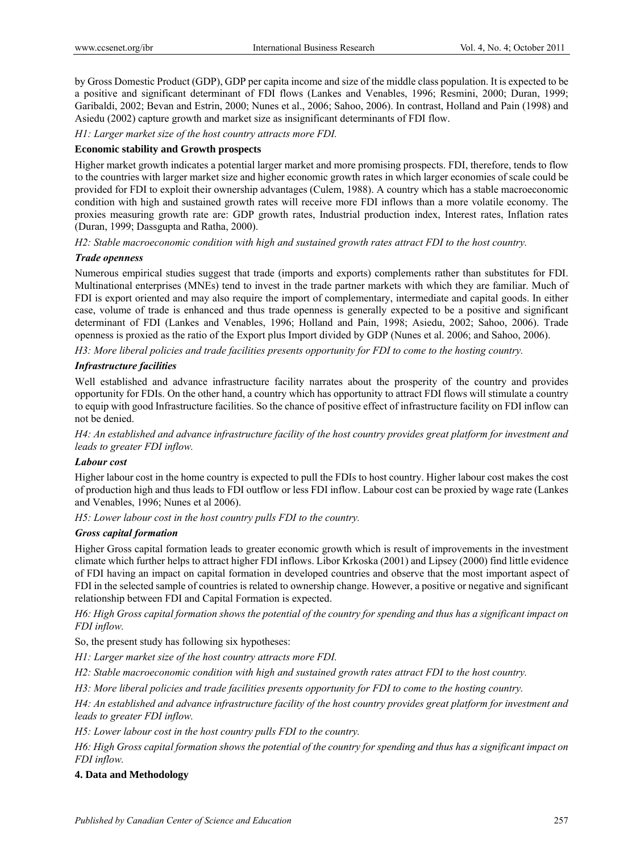by Gross Domestic Product (GDP), GDP per capita income and size of the middle class population. It is expected to be a positive and significant determinant of FDI flows (Lankes and Venables, 1996; Resmini, 2000; Duran, 1999; Garibaldi, 2002; Bevan and Estrin, 2000; Nunes et al., 2006; Sahoo, 2006). In contrast, Holland and Pain (1998) and Asiedu (2002) capture growth and market size as insignificant determinants of FDI flow.

*H1: Larger market size of the host country attracts more FDI.* 

# **Economic stability and Growth prospects**

Higher market growth indicates a potential larger market and more promising prospects. FDI, therefore, tends to flow to the countries with larger market size and higher economic growth rates in which larger economies of scale could be provided for FDI to exploit their ownership advantages (Culem, 1988). A country which has a stable macroeconomic condition with high and sustained growth rates will receive more FDI inflows than a more volatile economy. The proxies measuring growth rate are: GDP growth rates, Industrial production index, Interest rates, Inflation rates (Duran, 1999; Dassgupta and Ratha, 2000).

*H2: Stable macroeconomic condition with high and sustained growth rates attract FDI to the host country.* 

#### *Trade openness*

Numerous empirical studies suggest that trade (imports and exports) complements rather than substitutes for FDI. Multinational enterprises (MNEs) tend to invest in the trade partner markets with which they are familiar. Much of FDI is export oriented and may also require the import of complementary, intermediate and capital goods. In either case, volume of trade is enhanced and thus trade openness is generally expected to be a positive and significant determinant of FDI (Lankes and Venables, 1996; Holland and Pain, 1998; Asiedu, 2002; Sahoo, 2006). Trade openness is proxied as the ratio of the Export plus Import divided by GDP (Nunes et al. 2006; and Sahoo, 2006).

*H3: More liberal policies and trade facilities presents opportunity for FDI to come to the hosting country.* 

# *Infrastructure facilities*

Well established and advance infrastructure facility narrates about the prosperity of the country and provides opportunity for FDIs. On the other hand, a country which has opportunity to attract FDI flows will stimulate a country to equip with good Infrastructure facilities. So the chance of positive effect of infrastructure facility on FDI inflow can not be denied.

*H4: An established and advance infrastructure facility of the host country provides great platform for investment and leads to greater FDI inflow.* 

#### *Labour cost*

Higher labour cost in the home country is expected to pull the FDIs to host country. Higher labour cost makes the cost of production high and thus leads to FDI outflow or less FDI inflow. Labour cost can be proxied by wage rate (Lankes and Venables, 1996; Nunes et al 2006).

*H5: Lower labour cost in the host country pulls FDI to the country.*

# *Gross capital formation*

Higher Gross capital formation leads to greater economic growth which is result of improvements in the investment climate which further helps to attract higher FDI inflows. Libor Krkoska (2001) and Lipsey (2000) find little evidence of FDI having an impact on capital formation in developed countries and observe that the most important aspect of FDI in the selected sample of countries is related to ownership change. However, a positive or negative and significant relationship between FDI and Capital Formation is expected.

*H6: High Gross capital formation shows the potential of the country for spending and thus has a significant impact on FDI inflow.* 

So, the present study has following six hypotheses:

*H1: Larger market size of the host country attracts more FDI.* 

*H2: Stable macroeconomic condition with high and sustained growth rates attract FDI to the host country.* 

*H3: More liberal policies and trade facilities presents opportunity for FDI to come to the hosting country.* 

*H4: An established and advance infrastructure facility of the host country provides great platform for investment and leads to greater FDI inflow.* 

*H5: Lower labour cost in the host country pulls FDI to the country.*

*H6: High Gross capital formation shows the potential of the country for spending and thus has a significant impact on FDI inflow.* 

# **4. Data and Methodology**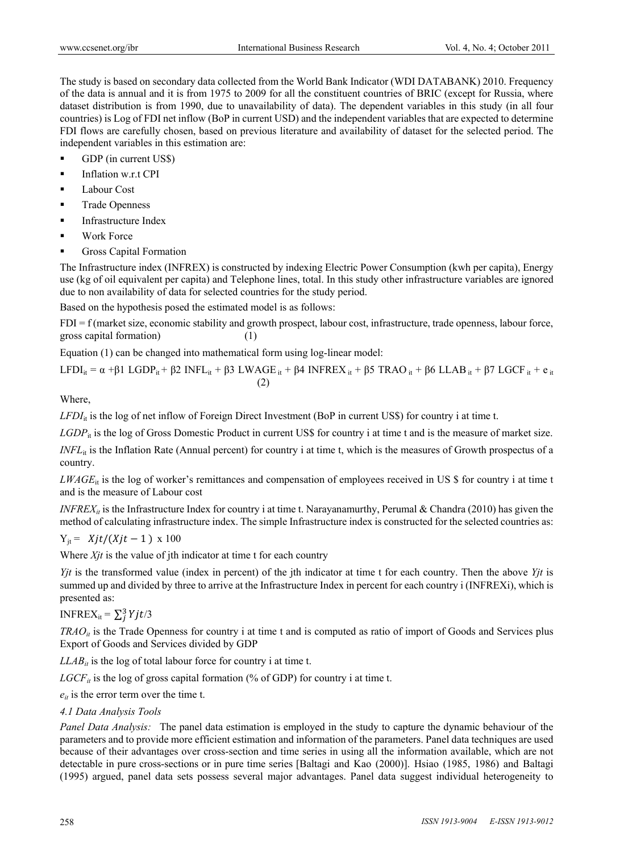The study is based on secondary data collected from the World Bank Indicator (WDI DATABANK) 2010. Frequency of the data is annual and it is from 1975 to 2009 for all the constituent countries of BRIC (except for Russia, where dataset distribution is from 1990, due to unavailability of data). The dependent variables in this study (in all four countries) is Log of FDI net inflow (BoP in current USD) and the independent variables that are expected to determine FDI flows are carefully chosen, based on previous literature and availability of dataset for the selected period. The independent variables in this estimation are:

- GDP (in current US\$)
- $\blacksquare$  Inflation w.r.t CPI
- **Labour Cost**
- Trade Openness
- **Infrastructure Index**
- Work Force
- **Gross Capital Formation**

The Infrastructure index (INFREX) is constructed by indexing Electric Power Consumption (kwh per capita), Energy use (kg of oil equivalent per capita) and Telephone lines, total. In this study other infrastructure variables are ignored due to non availability of data for selected countries for the study period.

Based on the hypothesis posed the estimated model is as follows:

 $FDI = f$  (market size, economic stability and growth prospect, labour cost, infrastructure, trade openness, labour force, gross capital formation) (1)

Equation (1) can be changed into mathematical form using log-linear model:

LFDI<sub>it</sub> = α +β1 LGDP<sub>it</sub> + β2 INFL<sub>it</sub> + β3 LWAGE <sub>it</sub> + β4 INFREX <sub>it</sub> + β5 TRAO <sub>it</sub> + β6 LLAB <sub>it</sub> + β7 LGCF <sub>it</sub> + e<sub>it</sub>  $(2)$ 

Where,

 $LFDI_{it}$  is the log of net inflow of Foreign Direct Investment (BoP in current US\$) for country i at time t.

*LGDP*<sub>it</sub> is the log of Gross Domestic Product in current US\$ for country i at time t and is the measure of market size.

*INFL*<sub>it</sub> is the Inflation Rate (Annual percent) for country i at time t, which is the measures of Growth prospectus of a country.

*LWAGE*<sub>it</sub> is the log of worker's remittances and compensation of employees received in US \$ for country i at time t and is the measure of Labour cost

*INFREX<sub>it</sub>* is the Infrastructure Index for country i at time t. Narayanamurthy, Perumal & Chandra (2010) has given the method of calculating infrastructure index. The simple Infrastructure index is constructed for the selected countries as:

$$
Y_{jt} = Xjt/(Xjt-1) \times 100
$$

Where *X<sub>it</sub>* is the value of jth indicator at time t for each country

*Yjt* is the transformed value (index in percent) of the jth indicator at time t for each country. Then the above *Yjt* is summed up and divided by three to arrive at the Infrastructure Index in percent for each country i (INFREXi), which is presented as:

INFREX<sub>it</sub> =  $\sum_j^3 Y j t/3$ 

*TRAO<sub>it</sub>* is the Trade Openness for country i at time t and is computed as ratio of import of Goods and Services plus Export of Goods and Services divided by GDP

 $LLAB_{it}$  is the log of total labour force for country i at time t.

 $LGCF_{it}$  is the log of gross capital formation (% of GDP) for country i at time t.

 $e_{it}$  is the error term over the time t.

# *4.1 Data Analysis Tools*

*Panel Data Analysis:* The panel data estimation is employed in the study to capture the dynamic behaviour of the parameters and to provide more efficient estimation and information of the parameters. Panel data techniques are used because of their advantages over cross-section and time series in using all the information available, which are not detectable in pure cross-sections or in pure time series [Baltagi and Kao (2000)]. Hsiao (1985, 1986) and Baltagi (1995) argued, panel data sets possess several major advantages. Panel data suggest individual heterogeneity to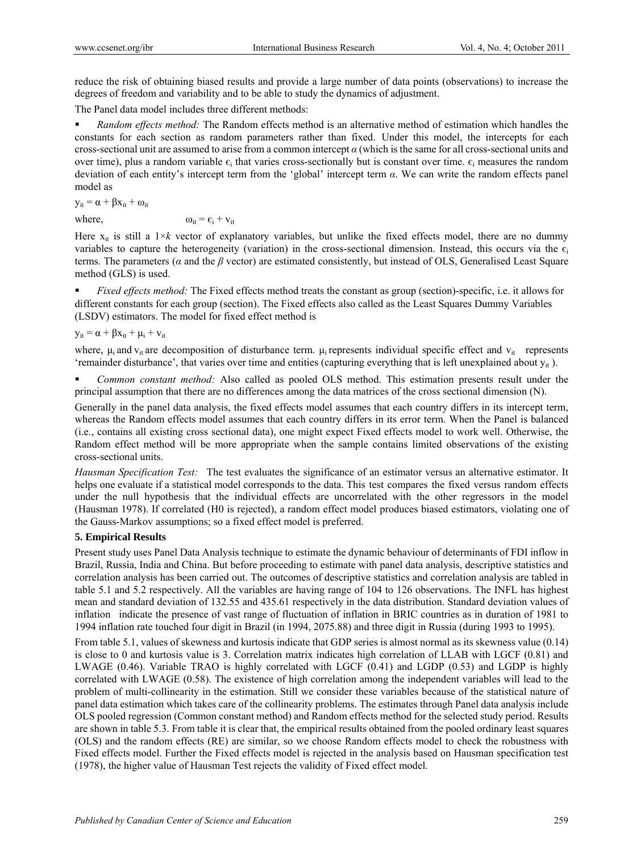reduce the risk of obtaining biased results and provide a large number of data points (observations) to increase the degrees of freedom and variability and to be able to study the dynamics of adjustment.

The Panel data model includes three different methods:

 *Random effects method:* The Random effects method is an alternative method of estimation which handles the constants for each section as random parameters rather than fixed. Under this model, the intercepts for each cross-sectional unit are assumed to arise from a common intercept *α* (which is the same for all cross-sectional units and over time), plus a random variable  $\epsilon_i$  that varies cross-sectionally but is constant over time.  $\epsilon_i$  measures the random deviation of each entity's intercept term from the 'global' intercept term *α*. We can write the random effects panel model as

 $y_{it} = \alpha + \beta x_{it} + \omega_{it}$ 

where,  $\omega_{it} = \varepsilon_i + v_{it}$ 

Here  $x_{it}$  is still a  $1 \times k$  vector of explanatory variables, but unlike the fixed effects model, there are no dummy variables to capture the heterogeneity (variation) in the cross-sectional dimension. Instead, this occurs via the  $\epsilon_i$ terms. The parameters (*α* and the *β* vector) are estimated consistently, but instead of OLS, Generalised Least Square method (GLS) is used.

 *Fixed effects method:* The Fixed effects method treats the constant as group (section)-specific, i.e. it allows for different constants for each group (section). The Fixed effects also called as the Least Squares Dummy Variables (LSDV) estimators. The model for fixed effect method is

 $y_{it} = \alpha + \beta x_{it} + \mu_i + v_{it}$ 

where,  $\mu_i$  and  $v_{it}$  are decomposition of disturbance term.  $\mu_i$  represents individual specific effect and  $v_{it}$  represents 'remainder disturbance', that varies over time and entities (capturing everything that is left unexplained about  $y_{it}$ ).

 *Common constant method:* Also called as pooled OLS method. This estimation presents result under the principal assumption that there are no differences among the data matrices of the cross sectional dimension (N).

Generally in the panel data analysis, the fixed effects model assumes that each country differs in its intercept term, whereas the Random effects model assumes that each country differs in its error term. When the Panel is balanced (i.e., contains all existing cross sectional data), one might expect Fixed effects model to work well. Otherwise, the Random effect method will be more appropriate when the sample contains limited observations of the existing cross-sectional units.

*Hausman Specification Test:* The test evaluates the significance of an estimator versus an alternative estimator. It helps one evaluate if a statistical model corresponds to the data. This test compares the fixed versus random effects under the null hypothesis that the individual effects are uncorrelated with the other regressors in the model (Hausman 1978). If correlated (H0 is rejected), a random effect model produces biased estimators, violating one of the Gauss-Markov assumptions; so a fixed effect model is preferred.

# **5. Empirical Results**

Present study uses Panel Data Analysis technique to estimate the dynamic behaviour of determinants of FDI inflow in Brazil, Russia, India and China. But before proceeding to estimate with panel data analysis, descriptive statistics and correlation analysis has been carried out. The outcomes of descriptive statistics and correlation analysis are tabled in table 5.1 and 5.2 respectively. All the variables are having range of 104 to 126 observations. The INFL has highest mean and standard deviation of 132.55 and 435.61 respectively in the data distribution. Standard deviation values of inflation indicate the presence of vast range of fluctuation of inflation in BRIC countries as in duration of 1981 to 1994 inflation rate touched four digit in Brazil (in 1994, 2075.88) and three digit in Russia (during 1993 to 1995).

From table 5.1, values of skewness and kurtosis indicate that GDP series is almost normal as its skewness value (0.14) is close to 0 and kurtosis value is 3. Correlation matrix indicates high correlation of LLAB with LGCF (0.81) and LWAGE (0.46). Variable TRAO is highly correlated with LGCF (0.41) and LGDP (0.53) and LGDP is highly correlated with LWAGE (0.58). The existence of high correlation among the independent variables will lead to the problem of multi-collinearity in the estimation. Still we consider these variables because of the statistical nature of panel data estimation which takes care of the collinearity problems. The estimates through Panel data analysis include OLS pooled regression (Common constant method) and Random effects method for the selected study period. Results are shown in table 5.3. From table it is clear that, the empirical results obtained from the pooled ordinary least squares (OLS) and the random effects (RE) are similar, so we choose Random effects model to check the robustness with Fixed effects model. Further the Fixed effects model is rejected in the analysis based on Hausman specification test (1978), the higher value of Hausman Test rejects the validity of Fixed effect model.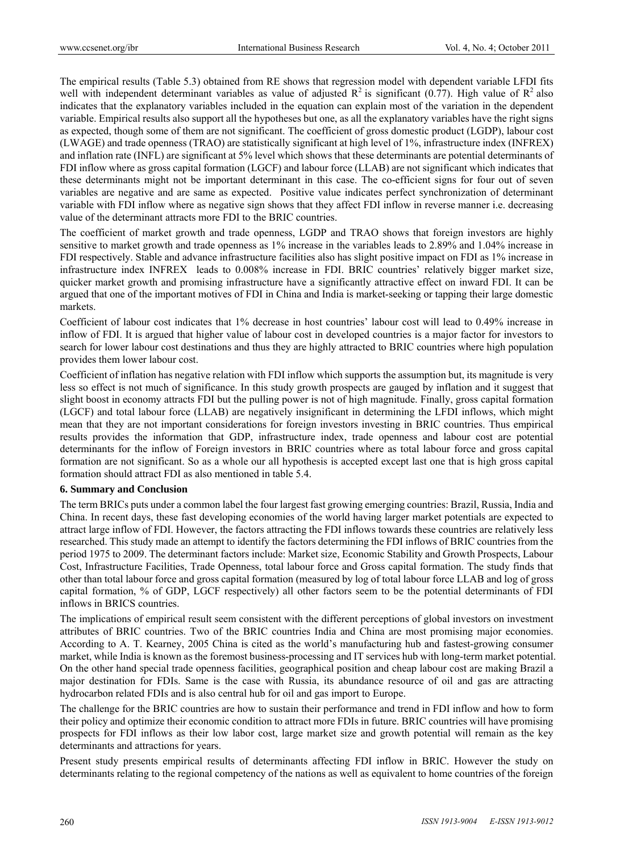The empirical results (Table 5.3) obtained from RE shows that regression model with dependent variable LFDI fits well with independent determinant variables as value of adjusted  $R^2$  is significant (0.77). High value of  $R^2$  also indicates that the explanatory variables included in the equation can explain most of the variation in the dependent variable. Empirical results also support all the hypotheses but one, as all the explanatory variables have the right signs as expected, though some of them are not significant. The coefficient of gross domestic product (LGDP), labour cost (LWAGE) and trade openness (TRAO) are statistically significant at high level of 1%, infrastructure index (INFREX) and inflation rate (INFL) are significant at 5% level which shows that these determinants are potential determinants of FDI inflow where as gross capital formation (LGCF) and labour force (LLAB) are not significant which indicates that these determinants might not be important determinant in this case. The co-efficient signs for four out of seven variables are negative and are same as expected. Positive value indicates perfect synchronization of determinant variable with FDI inflow where as negative sign shows that they affect FDI inflow in reverse manner i.e. decreasing value of the determinant attracts more FDI to the BRIC countries.

The coefficient of market growth and trade openness, LGDP and TRAO shows that foreign investors are highly sensitive to market growth and trade openness as 1% increase in the variables leads to 2.89% and 1.04% increase in FDI respectively. Stable and advance infrastructure facilities also has slight positive impact on FDI as 1% increase in infrastructure index INFREX leads to 0.008% increase in FDI. BRIC countries' relatively bigger market size, quicker market growth and promising infrastructure have a significantly attractive effect on inward FDI. It can be argued that one of the important motives of FDI in China and India is market-seeking or tapping their large domestic markets.

Coefficient of labour cost indicates that 1% decrease in host countries' labour cost will lead to 0.49% increase in inflow of FDI. It is argued that higher value of labour cost in developed countries is a major factor for investors to search for lower labour cost destinations and thus they are highly attracted to BRIC countries where high population provides them lower labour cost.

Coefficient of inflation has negative relation with FDI inflow which supports the assumption but, its magnitude is very less so effect is not much of significance. In this study growth prospects are gauged by inflation and it suggest that slight boost in economy attracts FDI but the pulling power is not of high magnitude. Finally, gross capital formation (LGCF) and total labour force (LLAB) are negatively insignificant in determining the LFDI inflows, which might mean that they are not important considerations for foreign investors investing in BRIC countries. Thus empirical results provides the information that GDP, infrastructure index, trade openness and labour cost are potential determinants for the inflow of Foreign investors in BRIC countries where as total labour force and gross capital formation are not significant. So as a whole our all hypothesis is accepted except last one that is high gross capital formation should attract FDI as also mentioned in table 5.4.

#### **6. Summary and Conclusion**

The term BRICs puts under a common label the four largest fast growing emerging countries: Brazil, Russia, India and China. In recent days, these fast developing economies of the world having larger market potentials are expected to attract large inflow of FDI. However, the factors attracting the FDI inflows towards these countries are relatively less researched. This study made an attempt to identify the factors determining the FDI inflows of BRIC countries from the period 1975 to 2009. The determinant factors include: Market size, Economic Stability and Growth Prospects, Labour Cost, Infrastructure Facilities, Trade Openness, total labour force and Gross capital formation. The study finds that other than total labour force and gross capital formation (measured by log of total labour force LLAB and log of gross capital formation, % of GDP, LGCF respectively) all other factors seem to be the potential determinants of FDI inflows in BRICS countries.

The implications of empirical result seem consistent with the different perceptions of global investors on investment attributes of BRIC countries. Two of the BRIC countries India and China are most promising major economies. According to A. T. Kearney, 2005 China is cited as the world's manufacturing hub and fastest-growing consumer market, while India is known as the foremost business-processing and IT services hub with long-term market potential. On the other hand special trade openness facilities, geographical position and cheap labour cost are making Brazil a major destination for FDIs. Same is the case with Russia, its abundance resource of oil and gas are attracting hydrocarbon related FDIs and is also central hub for oil and gas import to Europe.

The challenge for the BRIC countries are how to sustain their performance and trend in FDI inflow and how to form their policy and optimize their economic condition to attract more FDIs in future. BRIC countries will have promising prospects for FDI inflows as their low labor cost, large market size and growth potential will remain as the key determinants and attractions for years.

Present study presents empirical results of determinants affecting FDI inflow in BRIC. However the study on determinants relating to the regional competency of the nations as well as equivalent to home countries of the foreign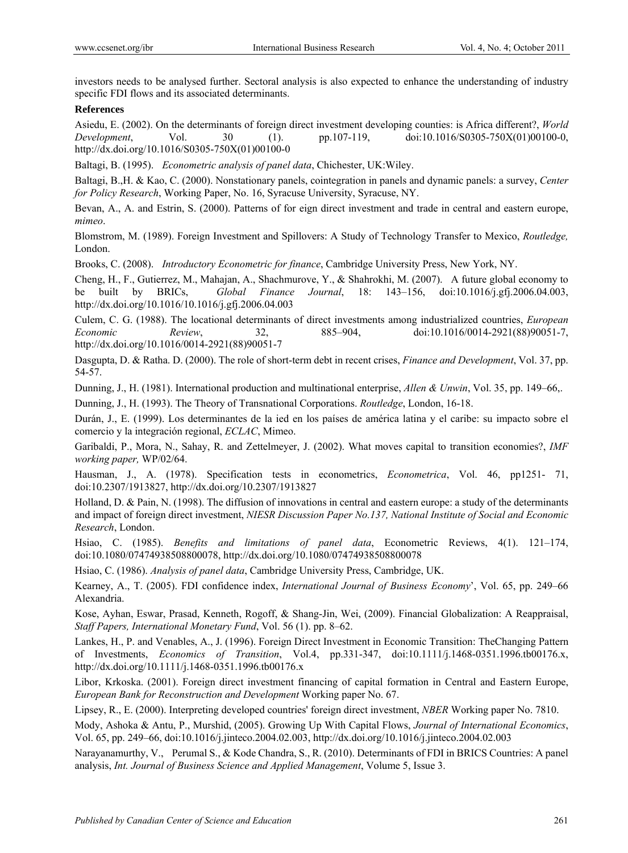investors needs to be analysed further. Sectoral analysis is also expected to enhance the understanding of industry specific FDI flows and its associated determinants.

# **References**

Asiedu, E. (2002). On the determinants of foreign direct investment developing counties: is Africa different?, *World Development*, Vol. 30 (1). pp.107-119, doi:10.1016/S0305-750X(01)00100-0, http://dx.doi.org/10.1016/S0305-750X(01)00100-0

Baltagi, B. (1995). *Econometric analysis of panel data*, Chichester, UK:Wiley.

Baltagi, B.,H. & Kao, C. (2000). Nonstationary panels, cointegration in panels and dynamic panels: a survey, *Center for Policy Research*, Working Paper, No. 16, Syracuse University, Syracuse, NY.

Bevan, A., A. and Estrin, S. (2000). Patterns of for eign direct investment and trade in central and eastern europe, *mimeo*.

Blomstrom, M. (1989). Foreign Investment and Spillovers: A Study of Technology Transfer to Mexico, *Routledge,*  London.

Brooks, C. (2008). *Introductory Econometric for finance*, Cambridge University Press, New York, NY.

Cheng, H., F., Gutierrez, M., Mahajan, A., Shachmurove, Y., & Shahrokhi, M. (2007). A future global economy to be built by BRICs, *Global Finance Journal*, 18: 143–156, doi:10.1016/j.gfj.2006.04.003, http://dx.doi.org/10.1016/10.1016/j.gfj.2006.04.003

Culem, C. G. (1988). The locational determinants of direct investments among industrialized countries, *European Economic Review*, 32, 885–904, doi:10.1016/0014-2921(88)90051-7, http://dx.doi.org/10.1016/0014-2921(88)90051-7

Dasgupta, D. & Ratha. D. (2000). The role of short-term debt in recent crises, *Finance and Development*, Vol. 37, pp. 54-57.

Dunning, J., H. (1981). International production and multinational enterprise, *Allen & Unwin*, Vol. 35, pp. 149–66,.

Dunning, J., H. (1993). The Theory of Transnational Corporations. *Routledge*, London, 16-18.

Durán, J., E. (1999). Los determinantes de la ied en los países de américa latina y el caribe: su impacto sobre el comercio y la integración regional, *ECLAC*, Mimeo.

Garibaldi, P., Mora, N., Sahay, R. and Zettelmeyer, J. (2002). What moves capital to transition economies?, *IMF working paper,* WP/02/64.

Hausman, J., A. (1978). Specification tests in econometrics, *Econometrica*, Vol. 46, pp1251- 71, doi:10.2307/1913827, http://dx.doi.org/10.2307/1913827

Holland, D. & Pain, N. (1998). The diffusion of innovations in central and eastern europe: a study of the determinants and impact of foreign direct investment, *NIESR Discussion Paper No.137, National Institute of Social and Economic Research*, London.

Hsiao, C. (1985). *Benefits and limitations of panel data*, Econometric Reviews, 4(1). 121–174, doi:10.1080/07474938508800078, http://dx.doi.org/10.1080/07474938508800078

Hsiao, C. (1986). *Analysis of panel data*, Cambridge University Press, Cambridge, UK.

Kearney, A., T. (2005). FDI confidence index, *International Journal of Business Economy*', Vol. 65, pp. 249–66 Alexandria.

Kose, Ayhan, Eswar, Prasad, Kenneth, Rogoff, & Shang-Jin, Wei, (2009). Financial Globalization: A Reappraisal, *Staff Papers, International Monetary Fund*, Vol. 56 (1). pp. 8–62.

Lankes, H., P. and Venables, A., J. (1996). Foreign Direct Investment in Economic Transition: TheChanging Pattern of Investments, *Economics of Transition*, Vol.4, pp.331-347, doi:10.1111/j.1468-0351.1996.tb00176.x, http://dx.doi.org/10.1111/j.1468-0351.1996.tb00176.x

Libor, Krkoska. (2001). Foreign direct investment financing of capital formation in Central and Eastern Europe, *European Bank for Reconstruction and Development* Working paper No. 67.

Lipsey, R., E. (2000). Interpreting developed countries' foreign direct investment, *NBER* Working paper No. 7810.

Mody, Ashoka & Antu, P., Murshid, (2005). Growing Up With Capital Flows, *Journal of International Economics*, Vol. 65, pp. 249–66, doi:10.1016/j.jinteco.2004.02.003, http://dx.doi.org/10.1016/j.jinteco.2004.02.003

Narayanamurthy, V., Perumal S., & Kode Chandra, S., R. (2010). Determinants of FDI in BRICS Countries: A panel analysis, *Int. Journal of Business Science and Applied Management*, Volume 5, Issue 3.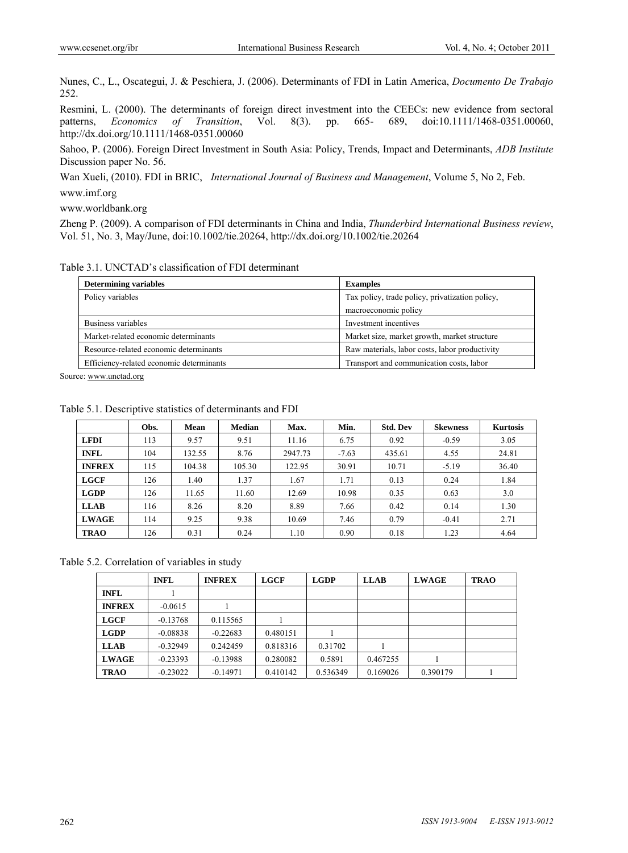Nunes, C., L., Oscategui, J. & Peschiera, J. (2006). Determinants of FDI in Latin America, *Documento De Trabajo* 252.

Resmini, L. (2000). The determinants of foreign direct investment into the CEECs: new evidence from sectoral patterns, *Economics of Transition*, Vol. 8(3). pp. 665- 689, doi:10.1111/1468-0351.00060, http://dx.doi.org/10.1111/1468-0351.00060

Sahoo, P. (2006). Foreign Direct Investment in South Asia: Policy, Trends, Impact and Determinants, *ADB Institute*  Discussion paper No. 56.

Wan Xueli, (2010). FDI in BRIC, *International Journal of Business and Management*, Volume 5, No 2, Feb. www.imf.org

www.worldbank.org

Zheng P. (2009). A comparison of FDI determinants in China and India, *Thunderbird International Business review*, Vol. 51, No. 3, May/June, doi:10.1002/tie.20264, http://dx.doi.org/10.1002/tie.20264

Table 3.1. UNCTAD's classification of FDI determinant

| <b>Determining variables</b>             | <b>Examples</b>                                 |  |  |
|------------------------------------------|-------------------------------------------------|--|--|
| Policy variables                         | Tax policy, trade policy, privatization policy, |  |  |
|                                          | macroeconomic policy                            |  |  |
| Business variables                       | Investment incentives                           |  |  |
| Market-related economic determinants     | Market size, market growth, market structure    |  |  |
| Resource-related economic determinants   | Raw materials, labor costs, labor productivity  |  |  |
| Efficiency-related economic determinants | Transport and communication costs, labor        |  |  |

Source: www.unctad.org

|               | Obs. | <b>Mean</b> | <b>Median</b> | Max.    | Min.    | <b>Std. Dev</b> | Skewness | <b>Kurtosis</b> |
|---------------|------|-------------|---------------|---------|---------|-----------------|----------|-----------------|
| <b>LFDI</b>   | 113  | 9.57        | 9.51          | 11.16   | 6.75    | 0.92            | $-0.59$  | 3.05            |
| <b>INFL</b>   | 104  | 132.55      | 8.76          | 2947.73 | $-7.63$ | 435.61          | 4.55     | 24.81           |
| <b>INFREX</b> | 115  | 104.38      | 105.30        | 122.95  | 30.91   | 10.71           | $-5.19$  | 36.40           |
| <b>LGCF</b>   | 126  | 1.40        | 1.37          | 1.67    | 1.71    | 0.13            | 0.24     | 1.84            |
| <b>LGDP</b>   | 126  | 11.65       | 11.60         | 12.69   | 10.98   | 0.35            | 0.63     | 3.0             |
| <b>LLAB</b>   | 116  | 8.26        | 8.20          | 8.89    | 7.66    | 0.42            | 0.14     | 1.30            |
| <b>LWAGE</b>  | 114  | 9.25        | 9.38          | 10.69   | 7.46    | 0.79            | $-0.41$  | 2.71            |
| <b>TRAO</b>   | 126  | 0.31        | 0.24          | 1.10    | 0.90    | 0.18            | 1.23     | 4.64            |

Table 5.1. Descriptive statistics of determinants and FDI

Table 5.2. Correlation of variables in study

|               | <b>INFL</b> | <b>INFREX</b> | <b>LGCF</b> | <b>LGDP</b> | <b>LLAB</b> | <b>LWAGE</b> | <b>TRAO</b> |
|---------------|-------------|---------------|-------------|-------------|-------------|--------------|-------------|
| <b>INFL</b>   |             |               |             |             |             |              |             |
| <b>INFREX</b> | $-0.0615$   |               |             |             |             |              |             |
| LGCF          | $-0.13768$  | 0.115565      |             |             |             |              |             |
| <b>LGDP</b>   | $-0.08838$  | $-0.22683$    | 0.480151    |             |             |              |             |
| <b>LLAB</b>   | $-0.32949$  | 0.242459      | 0.818316    | 0.31702     |             |              |             |
| <b>LWAGE</b>  | $-0.23393$  | $-0.13988$    | 0.280082    | 0.5891      | 0.467255    |              |             |
| <b>TRAO</b>   | $-0.23022$  | $-0.14971$    | 0.410142    | 0.536349    | 0.169026    | 0.390179     |             |